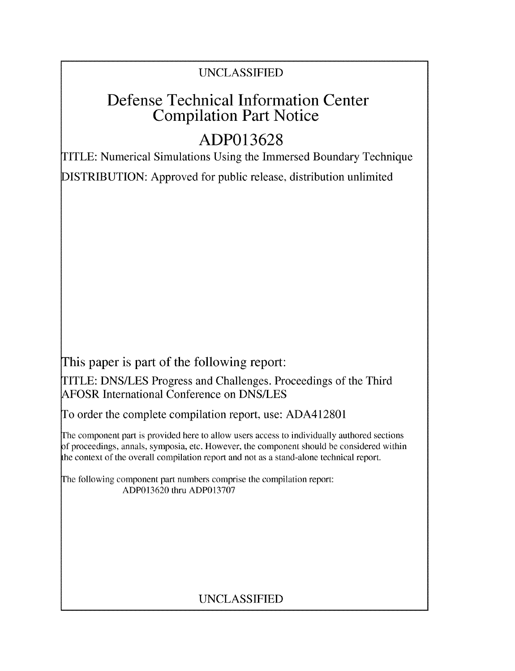## UNCLASSIFIED

## Defense Technical Information Center Compilation Part Notice

# **ADP013628**

TITLE: Numerical Simulations Using the Immersed Boundary Technique

DISTRIBUTION: Approved for public release, distribution unlimited

This paper is part of the following report:

TITLE: DNS/LES Progress and Challenges. Proceedings of the Third AFOSR International Conference on DNS/LES

To order the complete compilation report, use: ADA412801

The component part is provided here to allow users access to individually authored sections f proceedings, annals, symposia, etc. However, the component should be considered within the context of the overall compilation report and not as a stand-alone technical report.

The following component part numbers comprise the compilation report: ADP013620 thru ADP013707

## UNCLASSIFIED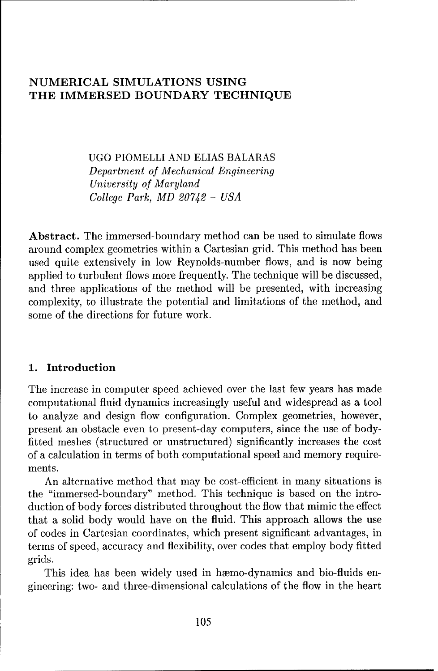### NUMERICAL SIMULATIONS **USING** THE IMMERSED BOUNDARY **TECHNIQUE**

UGO PIOMELLI AND ELIAS BALARAS Department *of Mechanical* Engineering *University of Maryland College Park, MD 20742* - *USA*

Abstract. The immersed-boundary method can be used to simulate flows around complex geometries within a Cartesian grid. This method has been used quite extensively in low Reynolds-number flows, and is now being applied to turbulent flows more frequently. The technique will be discussed, and three applications of the method will be presented, with increasing complexity, to illustrate the potential and limitations of the method, and some of the directions for future work.

#### **1.** Introduction

The increase in computer speed achieved over the last few years has made computational fluid dynamics increasingly useful and widespread as a tool to analyze and design flow configuration. Complex geometries, however, present an obstacle even to present-day computers, since the use of bodyfitted meshes (structured or unstructured) significantly increases the cost of a calculation in terms of both computational speed and memory requirements.

An alternative method that may be cost-efficient in many situations is the "immersed-boundary" method. This technique is based on the introduction of body forces distributed throughout the flow that mimic the effect that a solid body would have on the fluid. This approach allows the use of codes in Cartesian coordinates, which present significant advantages, in terms of speed, accuracy and flexibility, over codes that employ body fitted grids.

This idea has been widely used in hæmo-dynamics and bio-fluids engineering: two- and three-dimensional calculations of the flow in the heart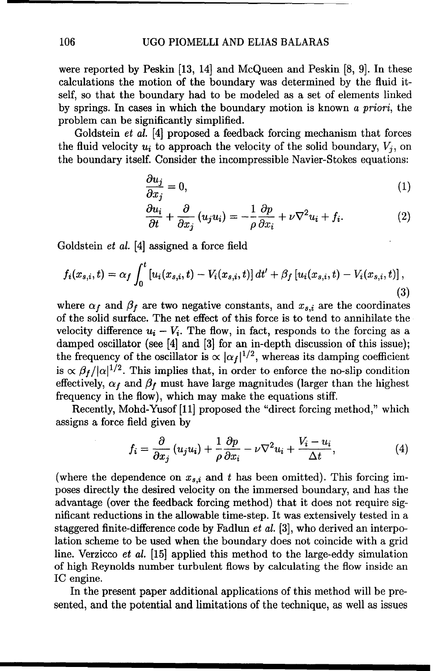#### 106 UGO PIOMELLI AND ELIAS BALARAS

were reported by Peskin [13, 14] and McQueen and Peskin [8, 9]. In these calculations the motion of the boundary was determined by the fluid itself, so that the boundary had to be modeled as a set of elements linked by springs. In cases in which the boundary motion is known a priori, the problem can be significantly simplified.

Goldstein et al. [4] proposed a feedback forcing mechanism that forces the fluid velocity  $u_i$  to approach the velocity of the solid boundary,  $V_i$ , on the boundary itself. Consider the incompressible Navier-Stokes equations:

$$
\frac{\partial u_j}{\partial x_j} = 0,\t\t(1)
$$

$$
\frac{\partial u_i}{\partial t} + \frac{\partial}{\partial x_j} (u_j u_i) = -\frac{1}{\rho} \frac{\partial p}{\partial x_i} + \nu \nabla^2 u_i + f_i.
$$
 (2)

Goldstein et al. [4] assigned a force field

$$
f_i(x_{s,i},t) = \alpha_f \int_0^t \left[ u_i(x_{s,i},t) - V_i(x_{s,i},t) \right] dt' + \beta_f \left[ u_i(x_{s,i},t) - V_i(x_{s,i},t) \right], \tag{3}
$$

where  $\alpha_f$  and  $\beta_f$  are two negative constants, and  $x_{s,i}$  are the coordinates of the solid surface. The net effect of this force is to tend to annihilate the velocity difference  $u_i - V_i$ . The flow, in fact, responds to the forcing as a damped oscillator (see [4] and [3] for an in-depth discussion of this issue); the frequency of the oscillator is  $\propto |\alpha_f|^{1/2}$ , whereas its damping coefficient is  $\propto \beta_f/|\alpha|^{1/2}$ . This implies that, in order to enforce the no-slip condition effectively,  $\alpha_f$  and  $\beta_f$  must have large magnitudes (larger than the highest frequency in the flow), which may make the equations stiff.

Recently, Mohd-Yusof [11] proposed the "direct forcing method," which assigns a force field given by

$$
f_i = \frac{\partial}{\partial x_j} (u_j u_i) + \frac{1}{\rho} \frac{\partial p}{\partial x_i} - \nu \nabla^2 u_i + \frac{V_i - u_i}{\Delta t}, \tag{4}
$$

(where the dependence on  $x_{s,i}$  and t has been omitted). This forcing imposes directly the desired velocity on the immersed boundary, and has the advantage (over the feedback forcing method) that it does not require significant reductions in the allowable time-step. It was extensively tested in a staggered finite-difference code by Fadlun et al. [3], who derived an interpolation scheme to be used when the boundary does not coincide with a grid line. Verzicco et al. [15] applied this method to the large-eddy simulation of high Reynolds number turbulent flows by calculating the flow inside an IC engine.

In the present paper additional applications of this method will be presented, and the potential and limitations of the technique, as well as issues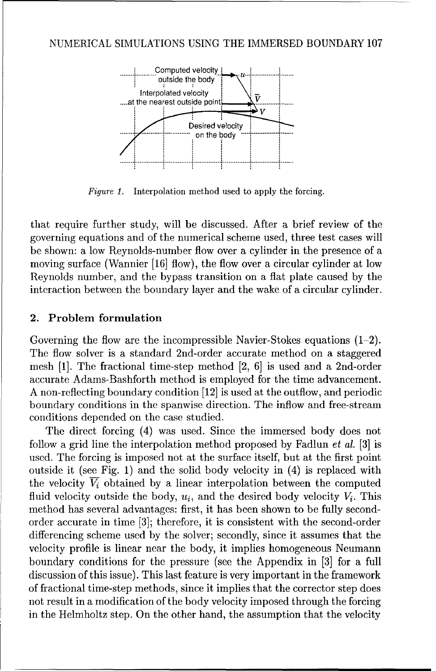

Interpolation method used to apply the forcing. Figure 1.

that require further study, will be discussed. After a brief review of the governing equations and of the numerical scheme used, three test cases will be shown: a low Reynolds-number flow over a cylinder in the presence of a moving surface (Wannier [16] flow), the flow over a circular cylinder at low Revnolds number, and the bypass transition on a flat plate caused by the interaction between the boundary layer and the wake of a circular cylinder.

#### 2. Problem formulation

Governing the flow are the incompressible Navier-Stokes equations  $(1-2)$ . The flow solver is a standard 2nd-order accurate method on a staggered mesh [1]. The fractional time-step method [2, 6] is used and a 2nd-order accurate Adams-Bashforth method is employed for the time advancement. A non-reflecting boundary condition [12] is used at the outflow, and periodic boundary conditions in the spanwise direction. The inflow and free-stream conditions depended on the case studied.

The direct forcing (4) was used. Since the immersed body does not follow a grid line the interpolation method proposed by Fadlun *et al.* [3] is used. The forcing is imposed not at the surface itself, but at the first point outside it (see Fig. 1) and the solid body velocity in (4) is replaced with the velocity  $\overline{V_i}$  obtained by a linear interpolation between the computed fluid velocity outside the body,  $u_i$ , and the desired body velocity  $V_i$ . This method has several advantages: first, it has been shown to be fully secondorder accurate in time [3]; therefore, it is consistent with the second-order differencing scheme used by the solver; secondly, since it assumes that the velocity profile is linear near the body, it implies homogeneous Neumann boundary conditions for the pressure (see the Appendix in [3] for a full discussion of this issue). This last feature is very important in the framework of fractional time-step methods, since it implies that the corrector step does not result in a modification of the body velocity imposed through the forcing in the Helmholtz step. On the other hand, the assumption that the velocity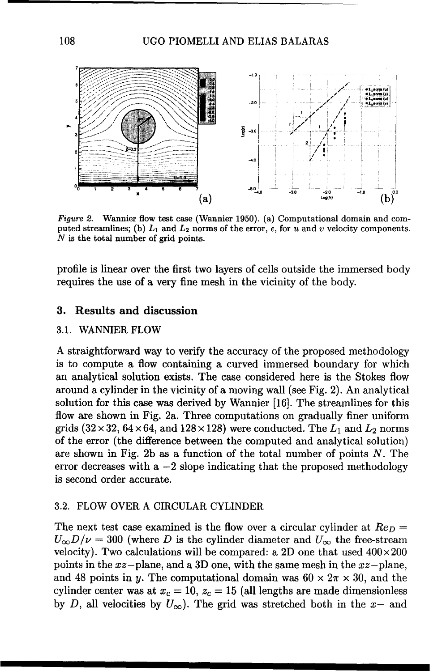

Figure 2. Wannier flow test case (Wannier 1950). (a) Computational domain and computed streamlines; (b)  $L_1$  and  $L_2$  norms of the error,  $\epsilon$ , for u and v velocity components. *N* is the total number of grid points.

profile is linear over the first two layers of cells outside the immersed body requires the use of a very fine mesh in the vicinity of the body.

#### **3.** Results and discussion

#### 3.1. WANNIER FLOW

A straightforward way to verify the accuracy of the proposed methodology is to compute a flow containing a curved immersed boundary for which an analytical solution exists. The case considered here is the Stokes flow around a cylinder in the vicinity of a moving wall (see Fig. 2). An analytical solution for this case was derived by Wannier [16]. The streamlines for this flow are shown in Fig. 2a. Three computations on gradually finer uniform grids  $(32 \times 32, 64 \times 64,$  and  $128 \times 128)$  were conducted. The  $L_1$  and  $L_2$  norms of the error (the difference between the computed and analytical solution) are shown in Fig. 2b as a function of the total number of points  $N$ . The error decreases with  $a - 2$  slope indicating that the proposed methodology is second order accurate.

#### 3.2. FLOW OVER A CIRCULAR CYLINDER

The next test case examined is the flow over a circular cylinder at  $Re_D =$  $U_{\infty}D/\nu = 300$  (where D is the cylinder diameter and  $U_{\infty}$  the free-stream velocity). Two calculations will be compared: a 2D one that used  $400 \times 200$ points in the  $xz$ -plane, and a 3D one, with the same mesh in the  $xz$ -plane, and 48 points in y. The computational domain was  $60 \times 2\pi \times 30$ , and the cylinder center was at  $x_c = 10$ ,  $z_c = 15$  (all lengths are made dimensionless by D, all velocities by  $U_{\infty}$ ). The grid was stretched both in the x- and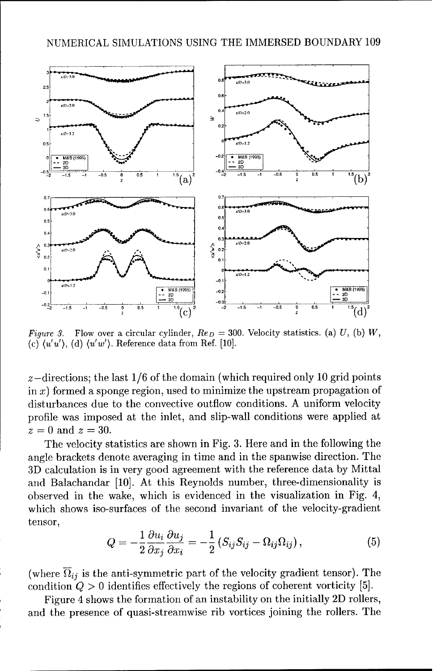

Figure 3. Flow over a circular cylinder,  $Re_D = 300$ . Velocity statistics. (a) U, (b) W, (c)  $\langle u'u'\rangle$ , (d)  $\langle u'w'\rangle$ . Reference data from Ref. [10].

 $z$ -directions; the last  $1/6$  of the domain (which required only 10 grid points in  $x$ ) formed a sponge region, used to minimize the upstream propagation of disturbances due to the convective outflow conditions. A uniform velocity profile was imposed at the inlet, and slip-wall conditions were applied at  $z = 0$  and  $z = 30$ .

The velocity statistics are shown in Fig. 3. Here and in the following the angle brackets denote averaging in time and in the spanwise direction. The 3D calculation is in very good agreement with the reference data by Mittal and Balachandar [10]. At this Reynolds number, three-dimensionality is observed in the wake, which is evidenced in the visualization in Fig. 4, which shows iso-surfaces of the second invariant of the velocity-gradient tensor,

$$
Q = -\frac{1}{2} \frac{\partial u_i}{\partial x_j} \frac{\partial u_j}{\partial x_i} = -\frac{1}{2} \left( S_{ij} S_{ij} - \Omega_{ij} \Omega_{ij} \right), \tag{5}
$$

(where  $\overline{\Omega}_{ij}$  is the anti-symmetric part of the velocity gradient tensor). The condition  $Q > 0$  identifies effectively the regions of coherent vorticity [5].

Figure 4 shows the formation of an instability on the initially 2D rollers, and the presence of quasi-streamwise rib vortices joining the rollers. The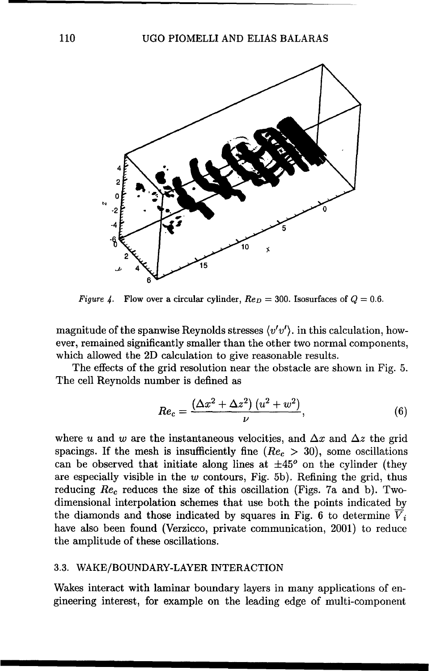

Figure 4. Flow over a circular cylinder,  $Re_D = 300$ . Isosurfaces of  $Q = 0.6$ .

magnitude of the spanwise Reynolds stresses *(v'v').* in this calculation, however, remained significantly smaller than the other two normal components, which allowed the 2D calculation to give reasonable results.

The effects of the grid resolution near the obstacle are shown in Fig. 5. The cell Reynolds number is defined as

$$
Re_c = \frac{(\Delta x^2 + \Delta z^2) (u^2 + w^2)}{\nu}, \tag{6}
$$

where u and w are the instantaneous velocities, and  $\Delta x$  and  $\Delta z$  the grid spacings. If the mesh is insufficiently fine ( $Re<sub>c</sub> > 30$ ), some oscillations can be observed that initiate along lines at  $\pm 45^{\circ}$  on the cylinder (they are especially visible in the  $w$  contours, Fig. 5b). Refining the grid, thus reducing  $Re_c$  reduces the size of this oscillation (Figs. 7a and b). Twodimensional interpolation schemes that use both the points indicated by the diamonds and those indicated by squares in Fig. 6 to determine  $\overline{V}_i$ have also been found (Verzicco, private communication, 2001) to reduce the amplitude of these oscillations.

#### 3.3. WAKE/BOUNDARY-LAYER INTERACTION

Wakes interact with laminar boundary layers in many applications of engineering interest, for example on the leading edge of multi-component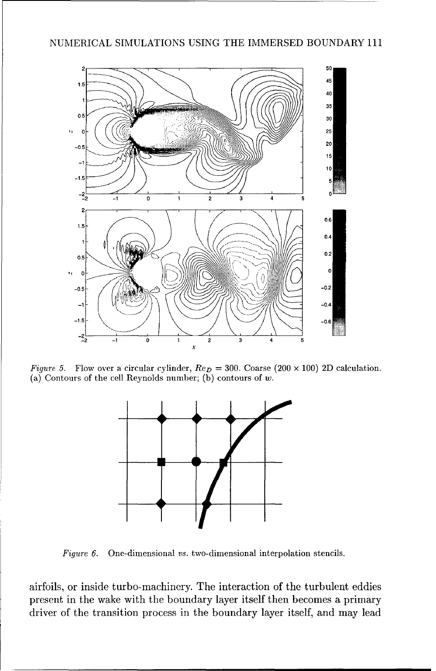

Figure 5. Flow over a circular cylinder,  $Re_D = 300$ . Coarse (200 × 100) 2D calculation. (a) Contours of the cell Reynolds number; (b) contours of  $w$ .



Figure 6. One-dimensional vs. two-dimensional interpolation stencils.

airfoils, or inside turbo-machinery. The interaction of the turbulent eddies present in the wake with the boundary layer itself then becomes a primary driver of the transition process in the boundary layer itself, and may lead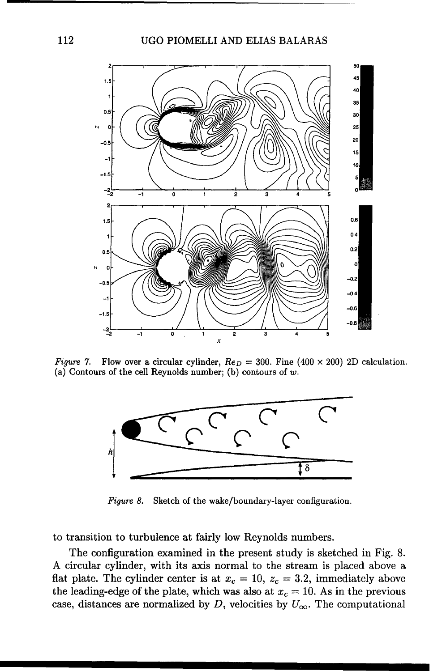#### 112 UGO PIOMELLI AND ELIAS BALARAS



Figure 7. Flow over a circular cylinder,  $Re_D = 300$ . Fine (400 × 200) 2D calculation. (a) Contours of the cell Reynolds number; (b) contours of  $w$ .



Figure 8. Sketch of the wake/boundary-layer configuration.

to transition to turbulence at fairly low Reynolds numbers.

The configuration examined in the present study is sketched in Fig. 8. A circular cylinder, with its axis normal to the stream is placed above a flat plate. The cylinder center is at  $x_c = 10$ ,  $z_c = 3.2$ , immediately above the leading-edge of the plate, which was also at  $x_c = 10$ . As in the previous case, distances are normalized by  $D$ , velocities by  $U_{\infty}$ . The computational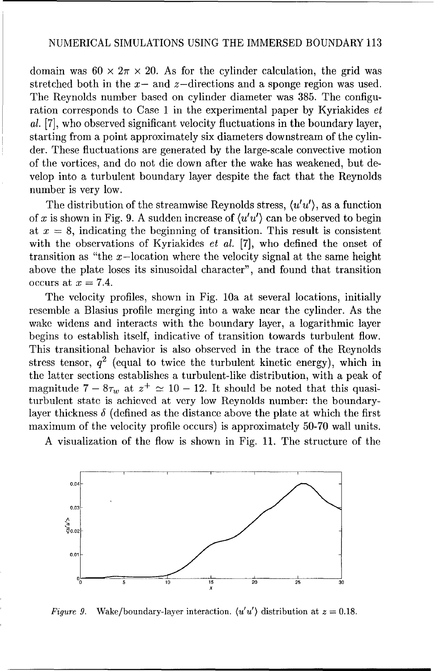domain was  $60 \times 2\pi \times 20$ . As for the cylinder calculation, the grid was stretched both in the  $x-$  and  $z$ -directions and a sponge region was used. The Reynolds number based on cylinder diameter was 385. The configuration corresponds to Case 1 in the experimental paper by Kyriakides et al. [7], who observed significant velocity fluctuations in the boundary layer, starting from a point approximately six diameters downstream of the cylinder. These fluctuations are generated by the large-scale convective motion of the vortices, and do not die down after the wake has weakened, but develop into a turbulent boundary layer despite the fact that the Reynolds number is very low.

The distribution of the streamwise Reynolds stress, *(u'u'),* as a function of x is shown in Fig. 9. A sudden increase of  $\langle u'u' \rangle$  can be observed to begin at  $x = 8$ , indicating the beginning of transition. This result is consistent with the observations of Kyriakides *et al.* [7], who defined the onset of transition as "the  $x$ -location where the velocity signal at the same height above the plate loses its sinusoidal character", and found that transition occurs at  $x = 7.4$ .

The velocity profiles, shown in Fig. 10a at several locations, initially resemble a Blasius profile merging into a wake near the cylinder. As the wake widens and interacts with the boundary layer, a logarithmic layer begins to establish itself, indicative of transition towards turbulent flow. This transitional behavior is also observed in the trace of the Reynolds stress tensor,  $q^2$  (equal to twice the turbulent kinetic energy), which in the latter sections establishes a turbulent-like distribution, with a peak of magnitude  $7 - 8\tau_w$  at  $z^+ \approx 10 - 12$ . It should be noted that this quasiturbulent state is achieved at very low Reynolds number: the boundarylayer thickness  $\delta$  (defined as the distance above the plate at which the first maximum of the velocity profile occurs) is approximately 50-70 wall units.

A visualization of the flow is shown in Fig. 11. The structure of the



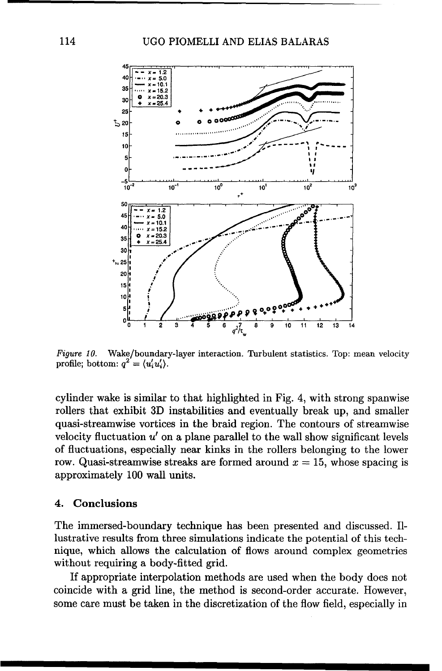

Wake/boundary-layer interaction. Turbulent statistics. Top: mean velocity Figure 10. profile; bottom:  $q^2 = \langle u'_i u'_i \rangle$ .

cylinder wake is similar to that highlighted in Fig. 4, with strong spanwise rollers that exhibit 3D instabilities and eventually break up, and smaller quasi-streamwise vortices in the braid region. The contours of streamwise velocity fluctuation  $u'$  on a plane parallel to the wall show significant levels of fluctuations, especially near kinks in the rollers belonging to the lower row. Quasi-streamwise streaks are formed around  $x = 15$ , whose spacing is approximately 100 wall units.

#### Conclusions 4.

The immersed-boundary technique has been presented and discussed. Illustrative results from three simulations indicate the potential of this technique, which allows the calculation of flows around complex geometries without requiring a body-fitted grid.

If appropriate interpolation methods are used when the body does not coincide with a grid line, the method is second-order accurate. However, some care must be taken in the discretization of the flow field, especially in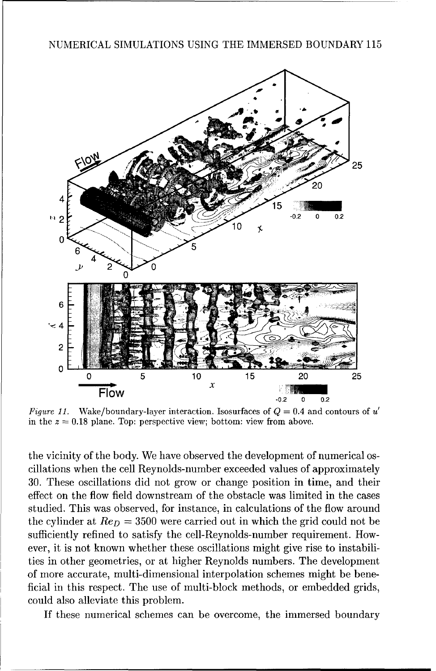

in the  $z = 0.18$  plane. Top: perspective view; bottom: view from above.

the vicinity of the body. We have observed the development of numerical oscillations when the cell Reynolds-number exceeded values of approximately 30. These oscillations did not grow or change position in time, and their effect on the flow field downstream of the obstacle was limited in the cases studied. This was observed, for instance, in calculations of the flow around the cylinder at  $Re_D = 3500$  were carried out in which the grid could not be sufficiently refined to satisfy the cell-Reynolds-number requirement. However, it is not known whether these oscillations might give rise to instabilities in other geometries, or at higher Reynolds numbers. The development of more accurate, multi-dimensional interpolation schemes might be beneficial in this respect. The use of multi-block methods, or embedded grids, could also alleviate this problem.

If these numerical schemes can be overcome, the immersed boundary